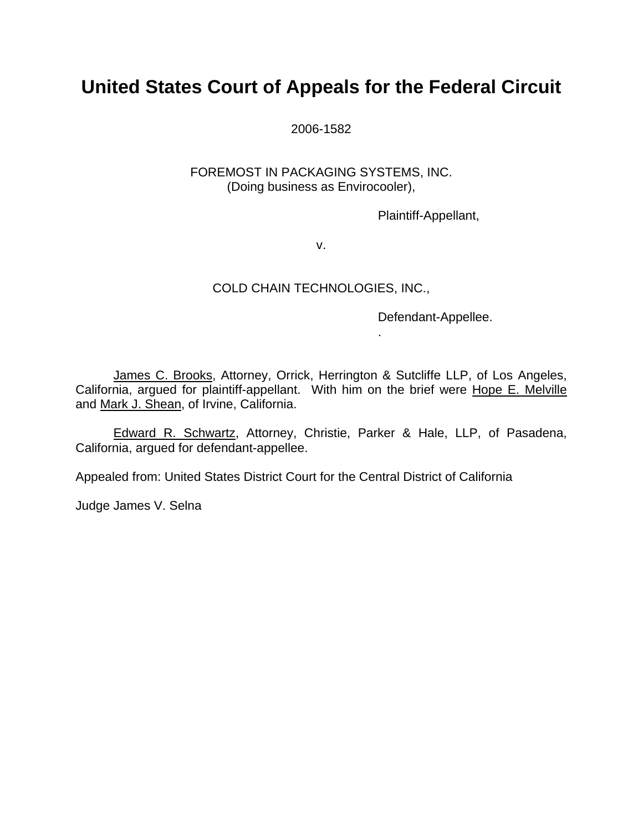# **United States Court of Appeals for the Federal Circuit**

2006-1582

### FOREMOST IN PACKAGING SYSTEMS, INC. (Doing business as Envirocooler),

Plaintiff-Appellant,

v.

### COLD CHAIN TECHNOLOGIES, INC.,

Defendant-Appellee.

.

James C. Brooks, Attorney, Orrick, Herrington & Sutcliffe LLP, of Los Angeles, California, argued for plaintiff-appellant. With him on the brief were Hope E. Melville and Mark J. Shean, of Irvine, California.

Edward R. Schwartz, Attorney, Christie, Parker & Hale, LLP, of Pasadena, California, argued for defendant-appellee.

Appealed from: United States District Court for the Central District of California

Judge James V. Selna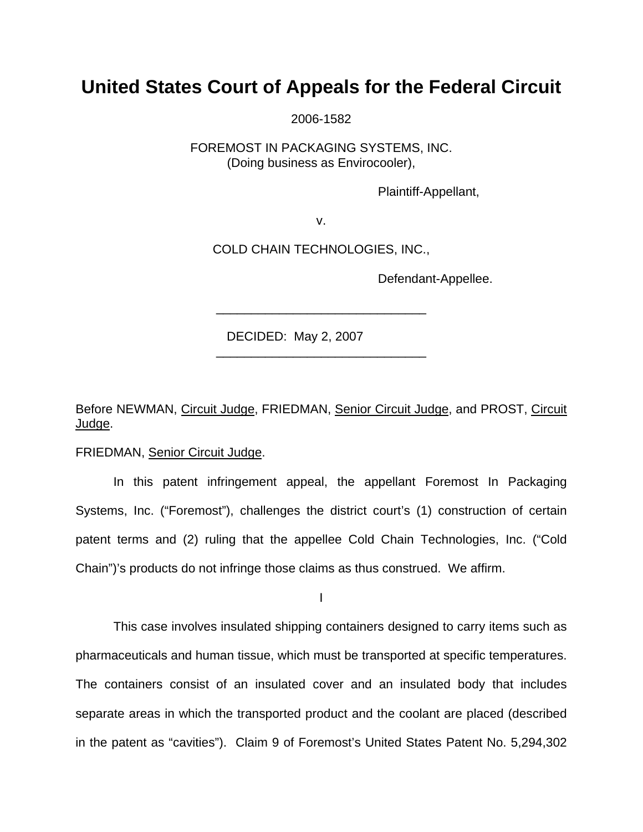## **United States Court of Appeals for the Federal Circuit**

2006-1582

FOREMOST IN PACKAGING SYSTEMS, INC. (Doing business as Envirocooler),

Plaintiff-Appellant,

v.

COLD CHAIN TECHNOLOGIES, INC.,

\_\_\_\_\_\_\_\_\_\_\_\_\_\_\_\_\_\_\_\_\_\_\_\_\_\_\_\_\_\_

\_\_\_\_\_\_\_\_\_\_\_\_\_\_\_\_\_\_\_\_\_\_\_\_\_\_\_\_\_\_

Defendant-Appellee.

DECIDED: May 2, 2007

Before NEWMAN, Circuit Judge, FRIEDMAN, Senior Circuit Judge, and PROST, Circuit Judge.

FRIEDMAN, Senior Circuit Judge.

In this patent infringement appeal, the appellant Foremost In Packaging Systems, Inc. ("Foremost"), challenges the district court's (1) construction of certain patent terms and (2) ruling that the appellee Cold Chain Technologies, Inc. ("Cold Chain")'s products do not infringe those claims as thus construed. We affirm.

I

 This case involves insulated shipping containers designed to carry items such as pharmaceuticals and human tissue, which must be transported at specific temperatures. The containers consist of an insulated cover and an insulated body that includes separate areas in which the transported product and the coolant are placed (described in the patent as "cavities"). Claim 9 of Foremost's United States Patent No. 5,294,302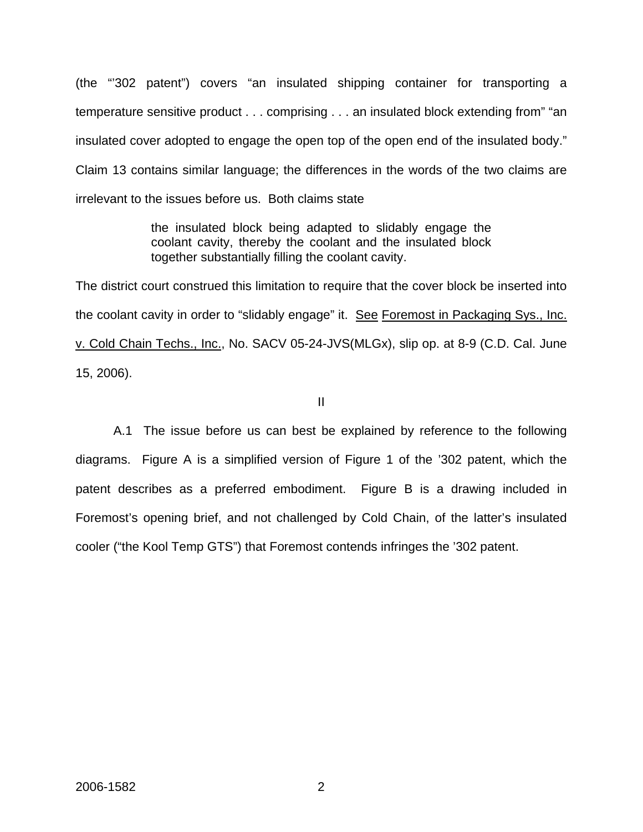(the "'302 patent") covers "an insulated shipping container for transporting a temperature sensitive product . . . comprising . . . an insulated block extending from" "an insulated cover adopted to engage the open top of the open end of the insulated body." Claim 13 contains similar language; the differences in the words of the two claims are irrelevant to the issues before us. Both claims state

> the insulated block being adapted to slidably engage the coolant cavity, thereby the coolant and the insulated block together substantially filling the coolant cavity.

The district court construed this limitation to require that the cover block be inserted into the coolant cavity in order to "slidably engage" it. See Foremost in Packaging Sys., Inc. v. Cold Chain Techs., Inc., No. SACV 05-24-JVS(MLGx), slip op. at 8-9 (C.D. Cal. June 15, 2006).

#### II

A.1 The issue before us can best be explained by reference to the following diagrams. Figure A is a simplified version of Figure 1 of the '302 patent, which the patent describes as a preferred embodiment. Figure B is a drawing included in Foremost's opening brief, and not challenged by Cold Chain, of the latter's insulated cooler ("the Kool Temp GTS") that Foremost contends infringes the '302 patent.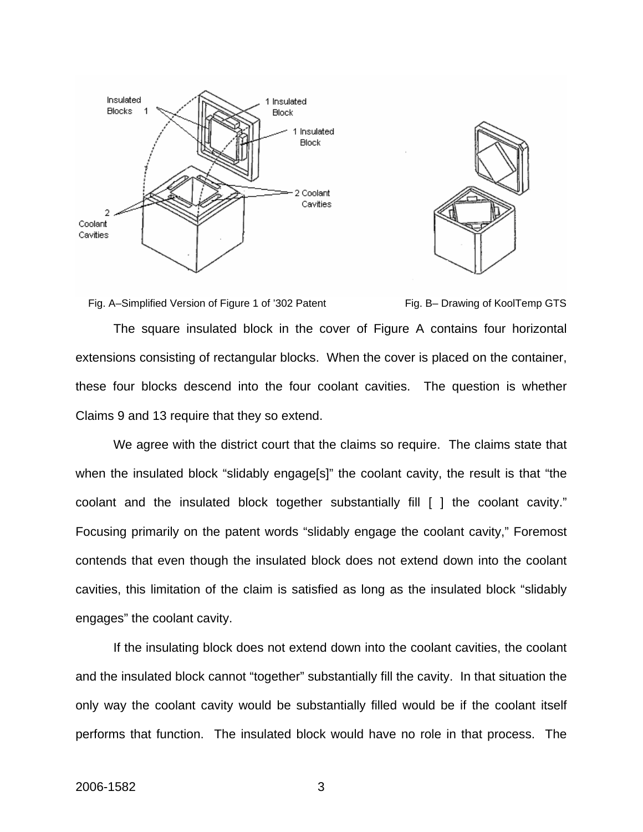



Fig. A–Simplified Version of Figure 1 of '302 Patent Fig. B– Drawing of KoolTemp GTS

The square insulated block in the cover of Figure A contains four horizontal

extensions consisting of rectangular blocks. When the cover is placed on the container, these four blocks descend into the four coolant cavities. The question is whether Claims 9 and 13 require that they so extend.

We agree with the district court that the claims so require. The claims state that when the insulated block "slidably engage<sup>[s]"</sup> the coolant cavity, the result is that "the coolant and the insulated block together substantially fill [ ] the coolant cavity." Focusing primarily on the patent words "slidably engage the coolant cavity," Foremost contends that even though the insulated block does not extend down into the coolant cavities, this limitation of the claim is satisfied as long as the insulated block "slidably engages" the coolant cavity.

If the insulating block does not extend down into the coolant cavities, the coolant and the insulated block cannot "together" substantially fill the cavity. In that situation the only way the coolant cavity would be substantially filled would be if the coolant itself performs that function. The insulated block would have no role in that process. The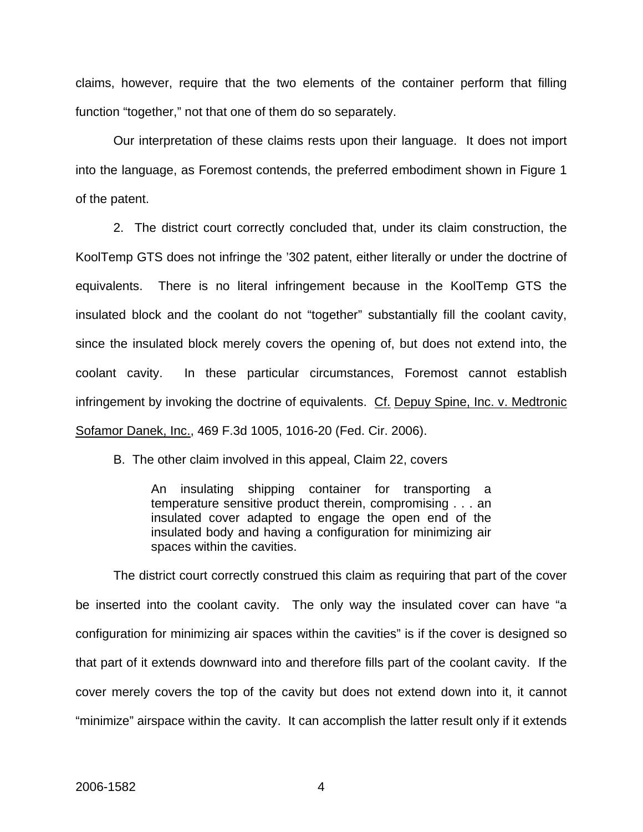claims, however, require that the two elements of the container perform that filling function "together," not that one of them do so separately.

Our interpretation of these claims rests upon their language. It does not import into the language, as Foremost contends, the preferred embodiment shown in Figure 1 of the patent.

2. The district court correctly concluded that, under its claim construction, the KoolTemp GTS does not infringe the '302 patent, either literally or under the doctrine of equivalents. There is no literal infringement because in the KoolTemp GTS the insulated block and the coolant do not "together" substantially fill the coolant cavity, since the insulated block merely covers the opening of, but does not extend into, the coolant cavity. In these particular circumstances, Foremost cannot establish infringement by invoking the doctrine of equivalents. Cf. Depuy Spine, Inc. v. Medtronic Sofamor Danek, Inc., 469 F.3d 1005, 1016-20 (Fed. Cir. 2006).

B. The other claim involved in this appeal, Claim 22, covers

An insulating shipping container for transporting a temperature sensitive product therein, compromising . . . an insulated cover adapted to engage the open end of the insulated body and having a configuration for minimizing air spaces within the cavities.

The district court correctly construed this claim as requiring that part of the cover be inserted into the coolant cavity. The only way the insulated cover can have "a configuration for minimizing air spaces within the cavities" is if the cover is designed so that part of it extends downward into and therefore fills part of the coolant cavity. If the cover merely covers the top of the cavity but does not extend down into it, it cannot "minimize" airspace within the cavity. It can accomplish the latter result only if it extends